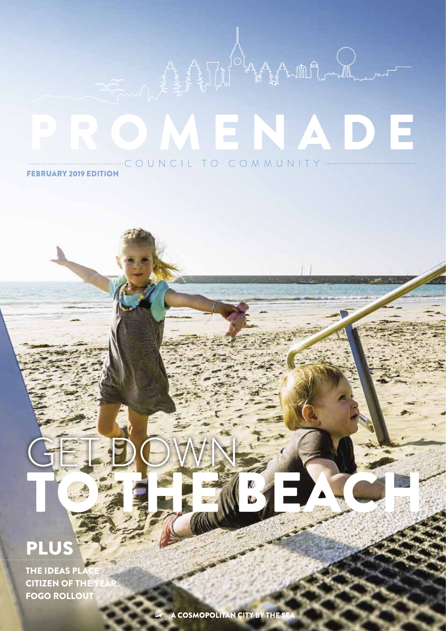## MENAD Ξ

**FEBRUARY 2019 EDITION** 

## P

THE IDEAS PL **CITIZEN OF THE** FOGO ROLLOUT

A COSMOPOLITAN CITY BY THE S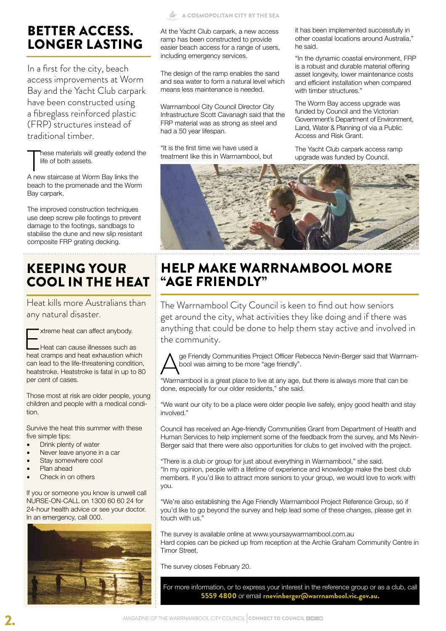## BETTER ACCESS. LONGER LASTING

In a first for the city, beach access improvements at Worm Bay and the Yacht Club carpark have been constructed using a fibreglass reinforced plastic (FRP) structures instead of traditional timber.

These materials will greatly extend the life of both assets.<br>A new staircase at Worm Bay links the hese materials will greatly extend the life of both assets.

beach to the promenade and the Worm Bay carpark.

The improved construction techniques use deep screw pile footings to prevent damage to the footings, sandbags to stabilise the dune and new slip resistant composite FRP grating decking.

## KEEPING YOUR COOL IN THE HEAT

Heat kills more Australians than any natural disaster.



Heat can cause illnesses such as heat cramps and heat exhaustion which can lead to the life-threatening condition, heatstroke. Heatstroke is fatal in up to 80 per cent of cases.

Those most at risk are older people, young children and people with a medical condition.

Survive the heat this summer with these five simple tips:

- Drink plenty of water
- Never leave anyone in a car
- Stay somewhere cool
- Plan ahead
- Check in on others

If you or someone you know is unwell call NURSE-ON-CALL on 1300 60 60 24 for 24-hour health advice or see your doctor. In an emergency, call 000.



At the Yacht Club carpark, a new access ramp has been constructed to provide easier beach access for a range of users, including emergency services.

The design of the ramp enables the sand and sea water to form a natural level which means less maintenance is needed.

Warrnambool City Council Director City Infrastructure Scott Cavanagh said that the FRP material was as strong as steel and had a 50 year lifespan.

"It is the first time we have used a treatment like this in Warrnambool, but it has been implemented successfully in other coastal locations around Australia," he said.

"In the dynamic coastal environment, FRP is a robust and durable material offering asset longevity, lower maintenance costs and efficient installation when compared with timber structures."

The Worm Bay access upgrade was funded by Council and the Victorian Government's Department of Environment, Land, Water & Planning of via a Public Access and Risk Grant.

The Yacht Club carpark access ramp upgrade was funded by Council.



## HELP MAKE WARRNAMBOOL MORE "AGE FRIENDLY"

The Warrnambool City Council is keen to find out how seniors get around the city, what activities they like doing and if there was anything that could be done to help them stay active and involved in the community.



ge Friendly Communities Project Officer Rebecca Nevin-Berger said that Warrnambool was aiming to be more "age friendly".

"Warrnambool is a great place to live at any age, but there is always more that can be done, especially for our older residents," she said.

"We want our city to be a place were older people live safely, enjoy good health and stay involved."

Council has received an Age-friendly Communities Grant from Department of Health and Human Services to help implement some of the feedback from the survey, and Ms Nevin-Berger said that there were also opportunities for clubs to get involved with the project.

"There is a club or group for just about everything in Warrnambool," she said. "In my opinion, people with a lifetime of experience and knowledge make the best club members. If you'd like to attract more seniors to your group, we would love to work with you.

"We're also establishing the Age Friendly Warrnambool Project Reference Group, so if you'd like to go beyond the survey and help lead some of these changes, please get in touch with us."

The survey is available online at www.yoursaywarrnambool.com.au Hard copies can be picked up from reception at the Archie Graham Community Centre in Timor Street.

The survey closes February 20.

For more information, or to express your interest in the reference group or as a club, call 5559 4800 or email rnevinberger@warrnambool.vic.gov.au.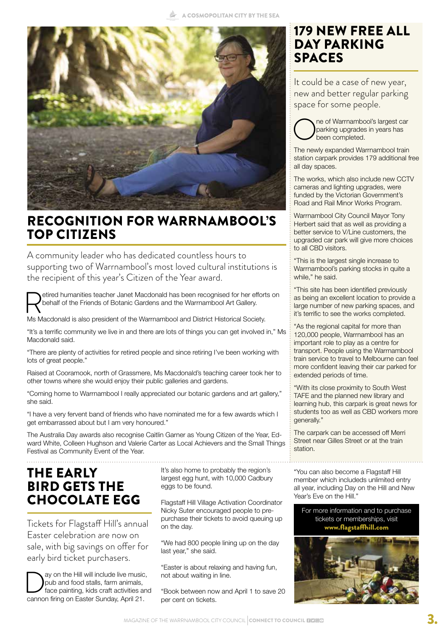

### RECOGNITION FOR WARRNAMBOOL'S TOP CITIZENS

A community leader who has dedicated countless hours to supporting two of Warrnambool's most loved cultural institutions is the recipient of this year's Citizen of the Year award.

etired humanities teacher Janet Macdonald has been recognised for her efforts on behalf of the Friends of Botanic Gardens and the Warrnambool Art Gallery.

Ms Macdonald is also president of the Warrnambool and District Historical Society.

"It's a terrific community we live in and there are lots of things you can get involved in," Ms Macdonald said.

"There are plenty of activities for retired people and since retiring I've been working with lots of great people."

Raised at Cooramook, north of Grassmere, Ms Macdonald's teaching career took her to other towns where she would enjoy their public galleries and gardens.

"Coming home to Warrnambool I really appreciated our botanic gardens and art gallery," she said.

"I have a very fervent band of friends who have nominated me for a few awards which I get embarrassed about but I am very honoured."

The Australia Day awards also recognise Caitlin Garner as Young Citizen of the Year, Edward White, Colleen Hughson and Valerie Carter as Local Achievers and the Small Things Festival as Community Event of the Year.

### THE EARLY BIRD GETS THE CHOCOLATE EGG

Tickets for Flagstaff Hill's annual Easter celebration are now on sale, with big savings on offer for early bird ticket purchasers.

ay on the Hill will include live music, pub and food stalls, farm animals, face painting, kids craft activities and cannon firing on Easter Sunday, April 21.

It's also home to probably the region's largest egg hunt, with 10,000 Cadbury eggs to be found.

Flagstaff Hill Village Activation Coordinator Nicky Suter encouraged people to prepurchase their tickets to avoid queuing up on the day.

"We had 800 people lining up on the day last year," she said.

"Easter is about relaxing and having fun, not about waiting in line.

"Book between now and April 1 to save 20 per cent on tickets.

### 179 NEW FREE ALL DAY PARKING **SPACES**

It could be a case of new year, new and better regular parking space for some people.

ne of Warrnambool's largest car parking upgrades in years has been completed.

The newly expanded Warrnambool train station carpark provides 179 additional free all day spaces.

The works, which also include new CCTV cameras and lighting upgrades, were funded by the Victorian Government's Road and Rail Minor Works Program.

Warrnambool City Council Mayor Tony Herbert said that as well as providing a better service to V/Line customers, the upgraded car park will give more choices to all CBD visitors.

"This is the largest single increase to Warrnambool's parking stocks in quite a while," he said.

"This site has been identified previously as being an excellent location to provide a large number of new parking spaces, and it's terrific to see the works completed.

"As the regional capital for more than 120,000 people, Warrnambool has an important role to play as a centre for transport. People using the Warrnambool train service to travel to Melbourne can feel more confident leaving their car parked for extended periods of time.

"With its close proximity to South West TAFE and the planned new library and learning hub, this carpark is great news for students too as well as CBD workers more generally."

The carpark can be accessed off Merri Street near Gilles Street or at the train station.

"You can also become a Flagstaff Hill member which includeds unlimited entry all year, including Day on the Hill and New Year's Eve on the Hill."

For more information and to purchase tickets or memberships, visit www.flagstaffhill.com

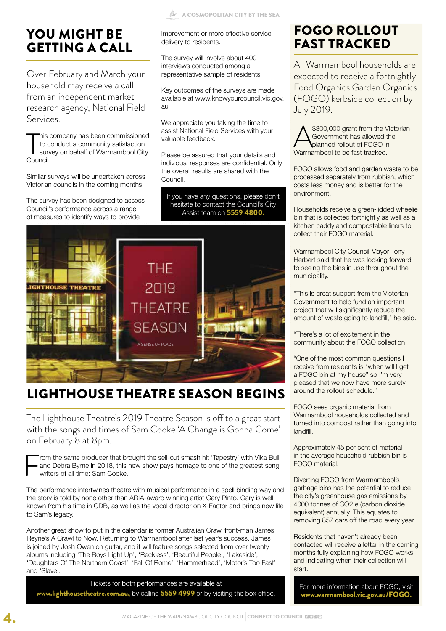## YOU MIGHT BE GETTING A CALL

Over February and March your household may receive a call from an independent market research agency, National Field Services.

This c<br>to council.<br>Council. his company has been commissioned to conduct a community satisfaction survey on behalf of Warrnambool City

Similar surveys will be undertaken across Victorian councils in the coming months.

The survey has been designed to assess Council's performance across a range of measures to identify ways to provide

improvement or more effective service delivery to residents.

The survey will involve about 400 interviews conducted among a representative sample of residents.

Key outcomes of the surveys are made available at www.knowyourcouncil.vic.gov. au

We appreciate you taking the time to assist National Field Services with your valuable feedback.

Please be assured that your details and individual responses are confidential. Only the overall results are shared with the Council.

If you have any questions, please don't hesitate to contact the Council's City Assist team on 5559 4800.



## LIGHTHOUSE THEATRE SEASON BEGINS

The Lighthouse Theatre's 2019 Theatre Season is off to a great start with the songs and times of Sam Cooke 'A Change is Gonna Come' on February 8 at 8pm.

From the same producer that brought the sell-out smash hit 'Tapestry' with Vika Bull<br>and Debra Byrne in 2018, this new show pays homage to one of the greatest song<br>writers of all time: Sam Cooke. and Debra Byrne in 2018, this new show pays homage to one of the greatest song writers of all time: Sam Cooke.

The performance intertwines theatre with musical performance in a spell binding way and the story is told by none other than ARIA-award winning artist Gary Pinto. Gary is well known from his time in CDB, as well as the vocal director on X-Factor and brings new life to Sam's legacy.

Another great show to put in the calendar is former Australian Crawl front-man James Reyne's A Crawl to Now. Returning to Warrnambool after last year's success, James is joined by Josh Owen on guitar, and it will feature songs selected from over twenty albums including 'The Boys Light Up', 'Reckless', 'Beautiful People', 'Lakeside', 'Daughters Of The Northern Coast', 'Fall Of Rome', 'Hammerhead', 'Motor's Too Fast' and 'Slave'.

Tickets for both performances are available at www.lighthousetheatre.com.au, by calling 5559 4999 or by visiting the box office.

## FOGO ROLLOUT FAST TRACKED

All Warrnambool households are expected to receive a fortnightly Food Organics Garden Organics (FOGO) kerbside collection by July 2019.

\$300,000 grant from the Victorian Government has allowed the planned rollout of FOGO in Warrnambool to be fast tracked.

FOGO allows food and garden waste to be processed separately from rubbish, which costs less money and is better for the environment.

Households receive a green-lidded wheelie bin that is collected fortnightly as well as a kitchen caddy and compostable liners to collect their FOGO material.

Warrnambool City Council Mayor Tony Herbert said that he was looking forward to seeing the bins in use throughout the municipality.

"This is great support from the Victorian Government to help fund an important project that will significantly reduce the amount of waste going to landfill," he said.

"There's a lot of excitement in the community about the FOGO collection.

"One of the most common questions I receive from residents is "when will I get a FOGO bin at my house" so I'm very pleased that we now have more surety around the rollout schedule."

FOGO sees organic material from Warrnambool households collected and turned into compost rather than going into landfill.

Approximately 45 per cent of material in the average household rubbish bin is FOGO material.

Diverting FOGO from Warrnambool's garbage bins has the potential to reduce the city's greenhouse gas emissions by 4000 tonnes of CO2 e (carbon dioxide equivalent) annually. This equates to removing 857 cars off the road every year.

Residents that haven't already been contacted will receive a letter in the coming months fully explaining how FOGO works and indicating when their collection will start.

For more information about FOGO, visit www.warrnambool.vic.gov.au/FOGO.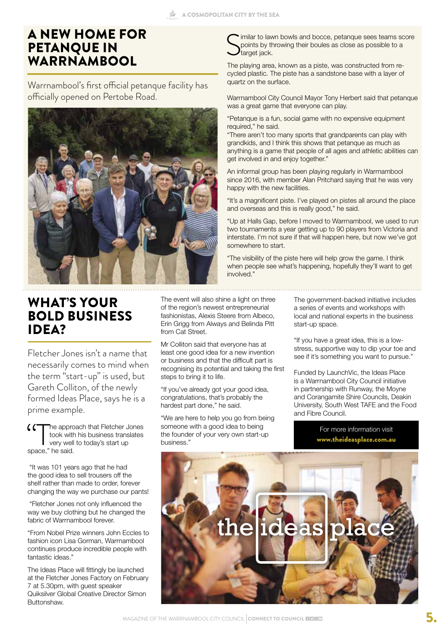#### A NEW HOME FOR PETANQUE IN **WARRNAMBOOL**

Warrnambool's first official petanque facility has officially opened on Pertobe Road.



### WHAT'S YOUR BOLD BUSINESS IDEA?

Fletcher Jones isn't a name that necessarily comes to mind when the term "start-up" is used, but Gareth Colliton, of the newly formed Ideas Place, says he is a prime example.

The approach that Fletcher Jones took with his business translates very well to today's start up space," he said.

 "It was 101 years ago that he had the good idea to sell trousers off the shelf rather than made to order, forever changing the way we purchase our pants!

 "Fletcher Jones not only influenced the way we buy clothing but he changed the fabric of Warrnambool forever.

"From Nobel Prize winners John Eccles to fashion icon Lisa Gorman, Warrnambool continues produce incredible people with fantastic ideas."

The Ideas Place will fittingly be launched at the Fletcher Jones Factory on February 7 at 5.30pm, with guest speaker Quiksilver Global Creative Director Simon Buttonshaw.

The event will also shine a light on three of the region's newest entrepreneurial fashionistas, Alexis Steere from Albeco, Erin Grigg from Always and Belinda Pitt from Cat Street.

Mr Colliton said that everyone has at least one good idea for a new invention or business and that the difficult part is recognising its potential and taking the first steps to bring it to life.

"If you've already got your good idea, congratulations, that's probably the hardest part done," he said.

"We are here to help you go from being someone with a good idea to being the founder of your very own start-up business."

S imilar to lawn bowls and bocce, petanque sees teams score points by throwing their boules as close as possible to a target jack.

The playing area, known as a piste, was constructed from recycled plastic. The piste has a sandstone base with a layer of quartz on the surface.

Warrnambool City Council Mayor Tony Herbert said that petanque was a great game that everyone can play.

"Petanque is a fun, social game with no expensive equipment required," he said.

"There aren't too many sports that grandparents can play with grandkids, and I think this shows that petanque as much as anything is a game that people of all ages and athletic abilities can get involved in and enjoy together."

An informal group has been playing regularly in Warrnambool since 2016, with member Alan Pritchard saying that he was very happy with the new facilities.

"It's a magnificent piste. I've played on pistes all around the place and overseas and this is really good," he said.

"Up at Halls Gap, before I moved to Warrnambool, we used to run two tournaments a year getting up to 90 players from Victoria and interstate. I'm not sure if that will happen here, but now we've got somewhere to start.

"The visibility of the piste here will help grow the game. I think when people see what's happening, hopefully they'll want to get involved."

> The government-backed initiative includes a series of events and workshops with local and national experts in the business start-up space.

> "If you have a great idea, this is a lowstress, supportive way to dip your toe and see if it's something you want to pursue."

> Funded by LaunchVic, the Ideas Place is a Warrnambool City Council initiative in partnership with Runway, the Moyne and Corangamite Shire Councils, Deakin University, South West TAFE and the Food and Fibre Council.

> > For more information visit www.theideasplace.com.au

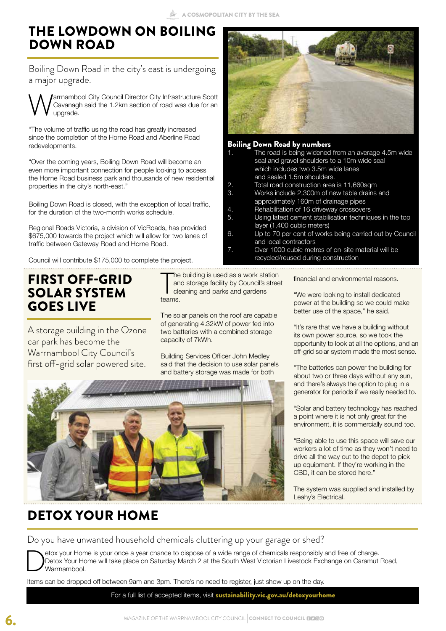## THE LOWDOWN ON BOILING DOWN ROAD

Boiling Down Road in the city's east is undergoing a major upgrade.

**Warrnambool City Council Director City Infrastructure Scott** Cavanagh said the 1.2km section of road was due for an upgrade. Cavanagh said the 1.2km section of road was due for an upgrade.

"The volume of traffic using the road has greatly increased since the completion of the Horne Road and Aberline Road redevelopments.

"Over the coming years, Boiling Down Road will become an even more important connection for people looking to access the Horne Road business park and thousands of new residential properties in the city's north-east."

Boiling Down Road is closed, with the exception of local traffic, for the duration of the two-month works schedule.

Regional Roads Victoria, a division of VicRoads, has provided \$675,000 towards the project which will allow for two lanes of traffic between Gateway Road and Horne Road.

Council will contribute \$175,000 to complete the project.

#### FIRST OFF-GRID SOLAR SYSTEM GOES LIVE

A storage building in the Ozone car park has become the Warrnambool City Council's first off-grid solar powered site.

The<br>
an<br>
teams. The building is used as a work station and storage facility by Council's street cleaning and parks and gardens

The solar panels on the roof are capable of generating 4.32kW of power fed into two batteries with a combined storage capacity of 7kWh.

Building Services Officer John Medley said that the decision to use solar panels and battery storage was made for both



#### **Boiling Down Road by**

| 1. | The road is being widened from an average 4.5m wide     |
|----|---------------------------------------------------------|
|    | seal and gravel shoulders to a 10m wide seal            |
|    | which includes two 3.5m wide lanes                      |
|    | and sealed 1.5m shoulders.                              |
| 2. | Total road construction area is 11,660sqm               |
| З. | Works include 2,300m of new table drains and            |
|    | approximately 160m of drainage pipes                    |
| 4. | Rehabilitation of 16 driveway crossovers                |
| 5. | Using latest cement stabilisation techniques in the top |
|    | layer (1,400 cubic meters)                              |
| 6. | Up to 70 per cent of works being carried out by Council |
|    | and local contractors                                   |

Over 1000 cubic metres of on-site materia recycled/reused during construction

financial and environmental reasons.

"We were looking to install dedicated power at the building so we could make better use of the space," he said.

"It's rare that we have a building without its own power source, so we took the opportunity to look at all the options, and an off-grid solar system made the most sense.

"The batteries can power the building for about two or three days without any sun, and there's always the option to plug in a generator for periods if we really needed to.

"Solar and battery technology has reached a point where it is not only great for the environment, it is commercially sound too.

"Being able to use this space will save our workers a lot of time as they won't need to drive all the way out to the depot to pick up equipment. If they're working in the CBD, it can be stored here."

The system was supplied and installed by Leahy's Electrical.

## DETOX YOUR HOME

Do you have unwanted household chemicals cluttering up your garage or shed?

Detox your Home is your once a year chance to dispose of a wide range of chemicals responsibly and free of charge.<br>Detox Your Home will take place on Saturday March 2 at the South West Victorian Livestock Exchange on Caram Detox Your Home will take place on Saturday March 2 at the South West Victorian Livestock Exchange on Caramut Road, Warrnambool.

Items can be dropped off between 9am and 3pm. There's no need to register, just show up on the day.

For a full list of accepted items, visit sustainability.vic.gov.au/detoxyourhome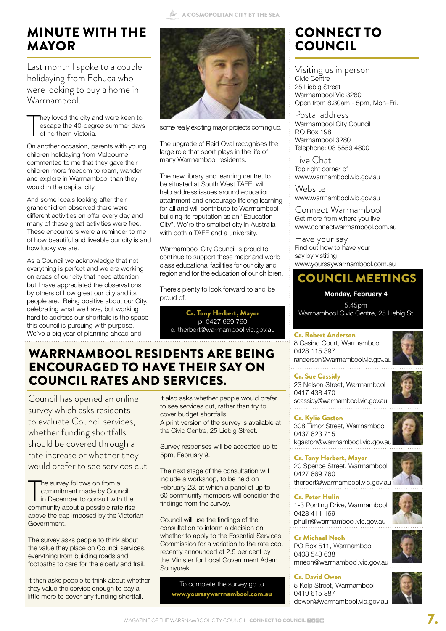#### A COSMOPOLITAN CITY BY THE SEA

## MINUTE WITH THE MAYOR

Last month I spoke to a couple holidaying from Echuca who were looking to buy a home in Warrnambool.

T hey loved the city and were keen to escape the 40-degree summer days of northern Victoria.

On another occasion, parents with young children holidaying from Melbourne commented to me that they gave their children more freedom to roam, wander and explore in Warrnambool than they would in the capital city.

And some locals looking after their grandchildren observed there were different activities on offer every day and many of these great activities were free. These encounters were a reminder to me of how beautiful and liveable our city is and how lucky we are.

As a Council we acknowledge that not everything is perfect and we are working on areas of our city that need attention but I have appreciated the observations by others of how great our city and its people are. Being positive about our City, celebrating what we have, but working hard to address our shortfalls is the space this council is pursuing with purpose. We've a big year of planning ahead and



some really exciting major projects coming up.

The upgrade of Reid Oval recognises the large role that sport plays in the life of many Warrnambool residents.

The new library and learning centre, to be situated at South West TAFE, will help address issues around education attainment and encourage lifelong learning for all and will contribute to Warrnambool building its reputation as an "Education City". We're the smallest city in Australia with both a TAFE and a university.

Warrnambool City Council is proud to continue to support these major and world class educational facilities for our city and region and for the education of our children.

There's plenty to look forward to and be proud of.

Cr. Tony Herbert, Mayor p. 0427 669 760 e. therbert@warrnambool.vic.gov.au

#### WARRNAMBOOL RESIDENTS ARE BEING ENCOURAGED TO HAVE THEIR SAY ON COUNCIL RATES AND SERVICES.

Council has opened an online survey which asks residents to evaluate Council services, whether funding shortfalls should be covered through a rate increase or whether they would prefer to see services cut.

The survey follows on from a<br>
commitment made by Council<br>
in December to consult with the<br>
community about a possible rate rise he survey follows on from a commitment made by Council in December to consult with the above the cap imposed by the Victorian Government.

The survey asks people to think about the value they place on Council services, everything from building roads and footpaths to care for the elderly and frail.

It then asks people to think about whether they value the service enough to pay a little more to cover any funding shortfall.

It also asks whether people would prefer to see services cut, rather than try to cover budget shortfalls. A print version of the survey is available at the Civic Centre, 25 Liebig Street.

Survey responses will be accepted up to 5pm, February 9.

The next stage of the consultation will include a workshop, to be held on February 23, at which a panel of up to 60 community members will consider the findings from the survey.

Council will use the findings of the consultation to inform a decision on whether to apply to the Essential Services Commission for a variation to the rate cap, recently announced at 2.5 per cent by the Minister for Local Government Adem Somyurek.

> To complete the survey go to www.yoursaywarrnambool.com.au

## CONNECT TO COUNCIL

Visiting us in person Civic Centre 25 Liebig Street Warrnambool Vic 3280 Open from 8.30am - 5pm, Mon–Fri.

Postal address Warrnambool City Council P.O Box 198 Warrnambool 3280 Telephone: 03 5559 4800

Live Chat Top right corner of www.warrnambool.vic.gov.au

**Website** www.warrnambool.vic.gov.au

Connect Warrnambool Get more from where you live www.connectwarrnambool.com.au

Have your say Find out how to have your say by vistiting www.yoursaywarrnambool.com.au

#### COUNCIL MEETINGS

#### **Monday, February 4**

5.45pm Warrnambool Civic Centre, 25 Liebig St

#### Cr. Robert Anderson

8 Casino Court, Warrnambool 0428 115 397 randerson@warrnambool.vic.gov.au 

Cr. Sue Cassidy 23 Nelson Street, Warrnambool 0417 438 470

scassidy@warrnambool.vic.gov.au

Cr. Kylie Gaston 308 Timor Street, Warrnambool 0437 623 715 kgaston@warrnambool.vic.gov.au

Cr. Tony Herbert, Mayor 20 Spence Street, Warrnambool 0427 669 760 therbert@warrnambool.vic.gov.au

Cr. Peter Hulin 1-3 Ponting Drive, Warrnambool 0428 411 169 phulin@warrnambool.vic.gov.au

Cr Michael Neoh PO Box 511, Warrnambool 0408 543 638 mneoh@warrnambool.vic.gov.au

Cr. David Owen 5 Kelp Street, Warrnambool 0419 615 887 dowen@warrnambool.vic.gov.au